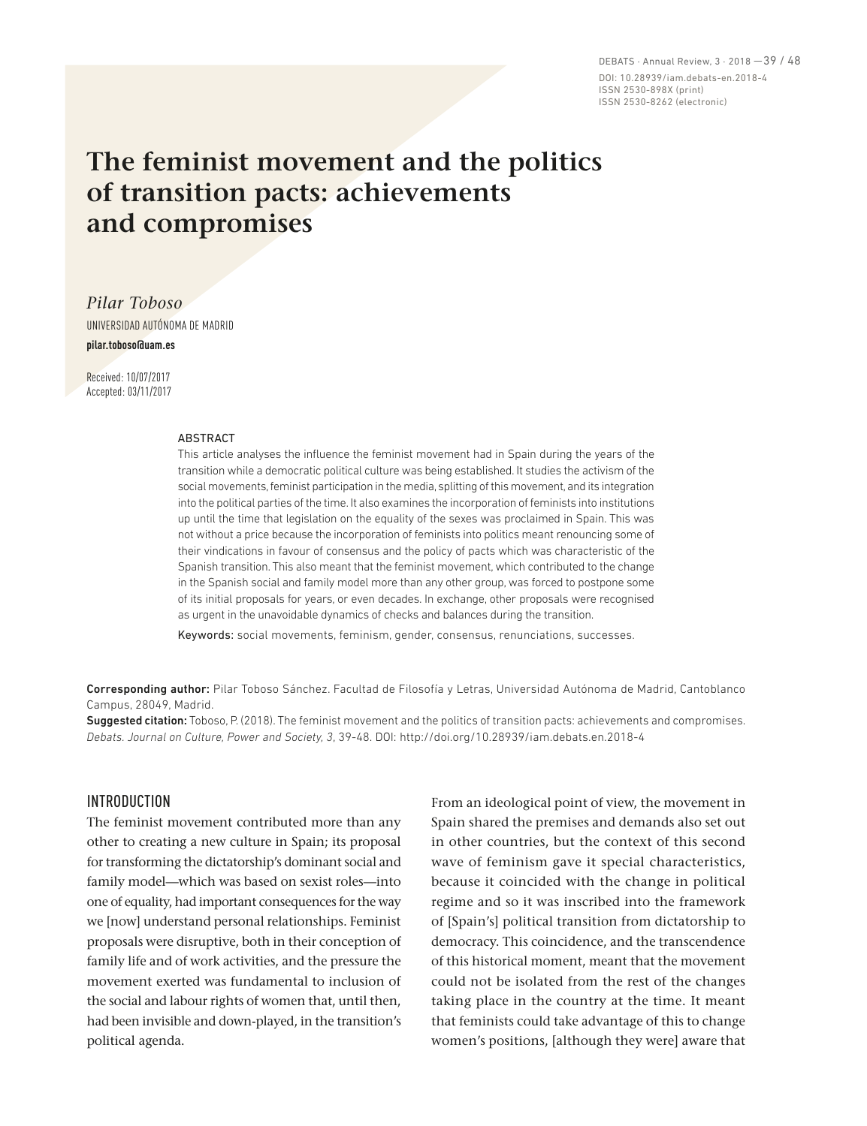DEBATS · Annual Review, 3 · 2018 —39 / 48 DOI: 10.28939/iam.debats-en.2018-4 ISSN 2530-898X (print) ISSN 2530-8262 (electronic)

# **The feminist movement and the politics of transition pacts: achievements and compromises**

*Pilar Toboso*

UNIVERSIDAD AUTÓNOMA DE MADRID

**pilar.toboso@uam.es**

Received: 10/07/2017 Accepted: 03/11/2017

#### ABSTRACT

This article analyses the influence the feminist movement had in Spain during the years of the transition while a democratic political culture was being established. It studies the activism of the social movements, feminist participation in the media, splitting of this movement, and its integration into the political parties of the time. It also examines the incorporation of feminists into institutions up until the time that legislation on the equality of the sexes was proclaimed in Spain. This was not without a price because the incorporation of feminists into politics meant renouncing some of their vindications in favour of consensus and the policy of pacts which was characteristic of the Spanish transition. This also meant that the feminist movement, which contributed to the change in the Spanish social and family model more than any other group, was forced to postpone some of its initial proposals for years, or even decades. In exchange, other proposals were recognised as urgent in the unavoidable dynamics of checks and balances during the transition.

Keywords: social movements, feminism, gender, consensus, renunciations, successes.

Corresponding author: Pilar Toboso Sánchez. Facultad de Filosofía y Letras, Universidad Autónoma de Madrid, Cantoblanco Campus, 28049, Madrid.

Suggested citation: Toboso, P. (2018). The feminist movement and the politics of transition pacts: achievements and compromises. *Debats. Journal on Culture, Power and Society, 3*, 39-48. DOI: http://doi.org/10.28939/iam.debats.en.2018-4

## INTRODUCTION

The feminist movement contributed more than any other to creating a new culture in Spain; its proposal for transforming the dictatorship's dominant social and family model—which was based on sexist roles—into one of equality, had important consequences for the way we [now] understand personal relationships. Feminist proposals were disruptive, both in their conception of family life and of work activities, and the pressure the movement exerted was fundamental to inclusion of the social and labour rights of women that, until then, had been invisible and down-played, in the transition's political agenda.

From an ideological point of view, the movement in Spain shared the premises and demands also set out in other countries, but the context of this second wave of feminism gave it special characteristics, because it coincided with the change in political regime and so it was inscribed into the framework of [Spain's] political transition from dictatorship to democracy. This coincidence, and the transcendence of this historical moment, meant that the movement could not be isolated from the rest of the changes taking place in the country at the time. It meant that feminists could take advantage of this to change women's positions, [although they were] aware that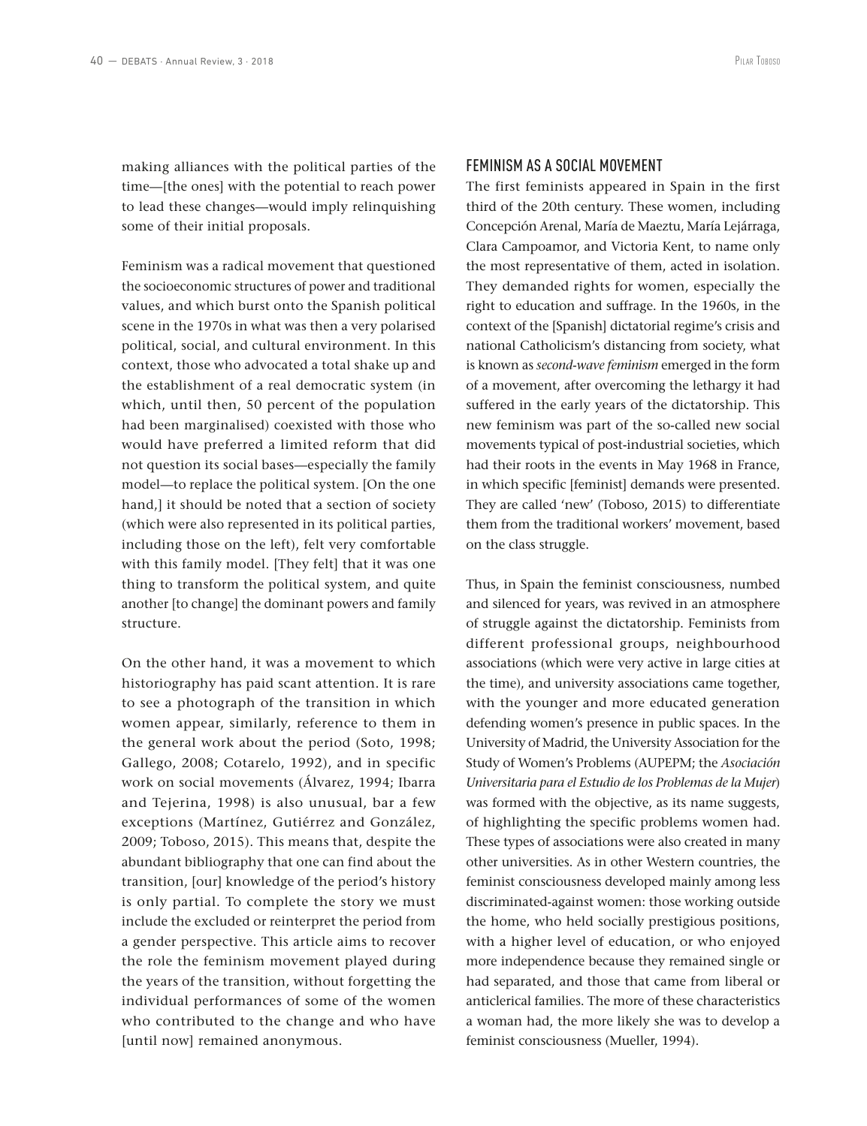making alliances with the political parties of the time—[the ones] with the potential to reach power to lead these changes—would imply relinquishing some of their initial proposals.

Feminism was a radical movement that questioned the socioeconomic structures of power and traditional values, and which burst onto the Spanish political scene in the 1970s in what was then a very polarised political, social, and cultural environment. In this context, those who advocated a total shake up and the establishment of a real democratic system (in which, until then, 50 percent of the population had been marginalised) coexisted with those who would have preferred a limited reform that did not question its social bases—especially the family model—to replace the political system. [On the one hand,] it should be noted that a section of society (which were also represented in its political parties, including those on the left), felt very comfortable with this family model. [They felt] that it was one thing to transform the political system, and quite another [to change] the dominant powers and family structure.

On the other hand, it was a movement to which historiography has paid scant attention. It is rare to see a photograph of the transition in which women appear, similarly, reference to them in the general work about the period (Soto, 1998; Gallego, 2008; Cotarelo, 1992), and in specific work on social movements (Álvarez, 1994; Ibarra and Tejerina, 1998) is also unusual, bar a few exceptions (Martínez, Gutiérrez and González, 2009; Toboso, 2015). This means that, despite the abundant bibliography that one can find about the transition, [our] knowledge of the period's history is only partial. To complete the story we must include the excluded or reinterpret the period from a gender perspective. This article aims to recover the role the feminism movement played during the years of the transition, without forgetting the individual performances of some of the women who contributed to the change and who have [until now] remained anonymous.

The first feminists appeared in Spain in the first third of the 20th century. These women, including Concepción Arenal, María de Maeztu, María Lejárraga, Clara Campoamor, and Victoria Kent, to name only the most representative of them, acted in isolation. They demanded rights for women, especially the right to education and suffrage. In the 1960s, in the context of the [Spanish] dictatorial regime's crisis and national Catholicism's distancing from society, what is known as *second-wave feminism* emerged in the form of a movement, after overcoming the lethargy it had suffered in the early years of the dictatorship. This new feminism was part of the so-called new social movements typical of post-industrial societies, which had their roots in the events in May 1968 in France, in which specific [feminist] demands were presented. They are called 'new' (Toboso, 2015) to differentiate them from the traditional workers' movement, based on the class struggle.

Thus, in Spain the feminist consciousness, numbed and silenced for years, was revived in an atmosphere of struggle against the dictatorship. Feminists from different professional groups, neighbourhood associations (which were very active in large cities at the time), and university associations came together, with the younger and more educated generation defending women's presence in public spaces. In the University of Madrid, the University Association for the Study of Women's Problems (AUPEPM; the *Asociación Universitaria para el Estudio de los Problemas de la Mujer*) was formed with the objective, as its name suggests, of highlighting the specific problems women had. These types of associations were also created in many other universities. As in other Western countries, the feminist consciousness developed mainly among less discriminated-against women: those working outside the home, who held socially prestigious positions, with a higher level of education, or who enjoyed more independence because they remained single or had separated, and those that came from liberal or anticlerical families. The more of these characteristics a woman had, the more likely she was to develop a feminist consciousness (Mueller, 1994).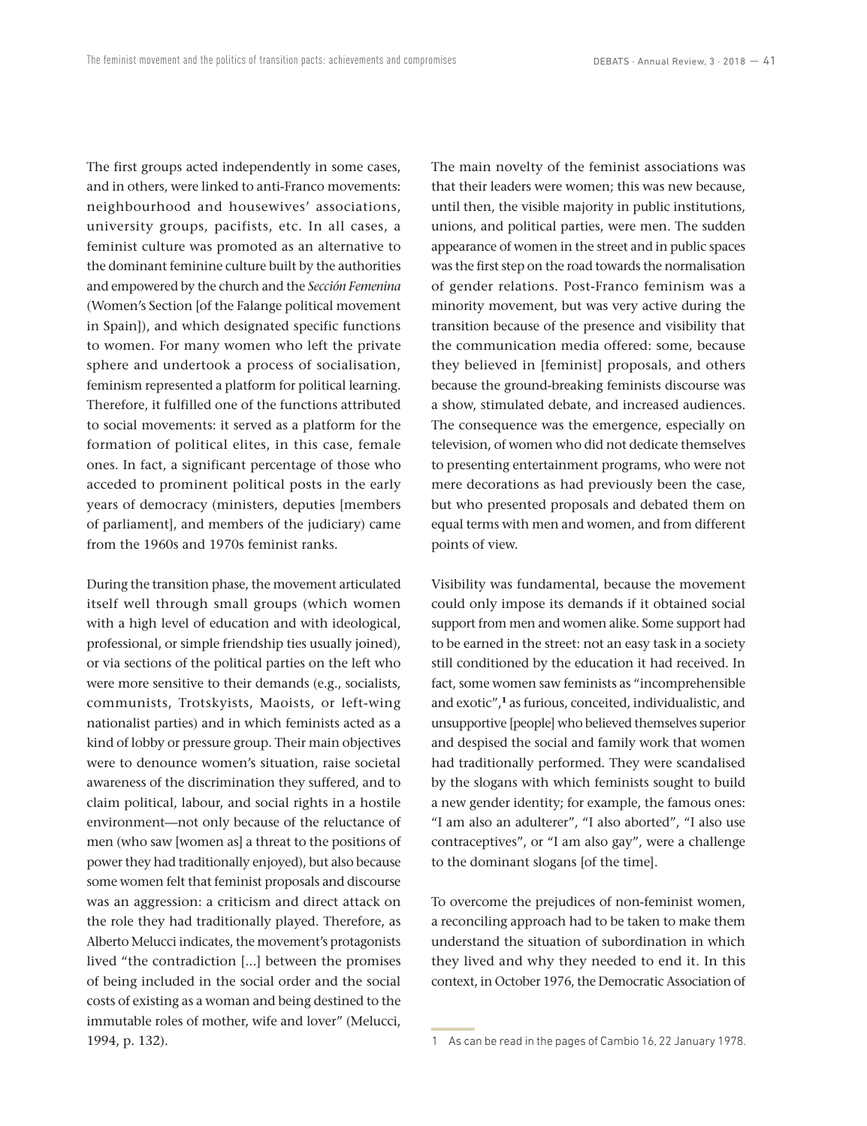The first groups acted independently in some cases, and in others, were linked to anti-Franco movements: neighbourhood and housewives' associations, university groups, pacifists, etc. In all cases, a feminist culture was promoted as an alternative to the dominant feminine culture built by the authorities and empowered by the church and the *Sección Femenina* (Women's Section [of the Falange political movement in Spain]), and which designated specific functions to women. For many women who left the private sphere and undertook a process of socialisation, feminism represented a platform for political learning. Therefore, it fulfilled one of the functions attributed to social movements: it served as a platform for the formation of political elites, in this case, female ones. In fact, a significant percentage of those who acceded to prominent political posts in the early years of democracy (ministers, deputies [members of parliament], and members of the judiciary) came from the 1960s and 1970s feminist ranks.

During the transition phase, the movement articulated itself well through small groups (which women with a high level of education and with ideological, professional, or simple friendship ties usually joined), or via sections of the political parties on the left who were more sensitive to their demands (e.g., socialists, communists, Trotskyists, Maoists, or left-wing nationalist parties) and in which feminists acted as a kind of lobby or pressure group. Their main objectives were to denounce women's situation, raise societal awareness of the discrimination they suffered, and to claim political, labour, and social rights in a hostile environment—not only because of the reluctance of men (who saw [women as] a threat to the positions of power they had traditionally enjoyed), but also because some women felt that feminist proposals and discourse was an aggression: a criticism and direct attack on the role they had traditionally played. Therefore, as Alberto Melucci indicates, the movement's protagonists lived "the contradiction [...] between the promises of being included in the social order and the social costs of existing as a woman and being destined to the immutable roles of mother, wife and lover" (Melucci, 1994, p. 132).

The main novelty of the feminist associations was that their leaders were women; this was new because, until then, the visible majority in public institutions, unions, and political parties, were men. The sudden appearance of women in the street and in public spaces was the first step on the road towards the normalisation of gender relations. Post-Franco feminism was a minority movement, but was very active during the transition because of the presence and visibility that the communication media offered: some, because they believed in [feminist] proposals, and others because the ground-breaking feminists discourse was a show, stimulated debate, and increased audiences. The consequence was the emergence, especially on television, of women who did not dedicate themselves to presenting entertainment programs, who were not mere decorations as had previously been the case, but who presented proposals and debated them on equal terms with men and women, and from different points of view.

Visibility was fundamental, because the movement could only impose its demands if it obtained social support from men and women alike. Some support had to be earned in the street: not an easy task in a society still conditioned by the education it had received. In fact, some women saw feminists as "incomprehensible and exotic",**<sup>1</sup>** as furious, conceited, individualistic, and unsupportive [people] who believed themselves superior and despised the social and family work that women had traditionally performed. They were scandalised by the slogans with which feminists sought to build a new gender identity; for example, the famous ones: "I am also an adulterer", "I also aborted", "I also use contraceptives", or "I am also gay", were a challenge to the dominant slogans [of the time].

To overcome the prejudices of non-feminist women, a reconciling approach had to be taken to make them understand the situation of subordination in which they lived and why they needed to end it. In this context, in October 1976, the Democratic Association of

<sup>1</sup> As can be read in the pages of Cambio 16, 22 January 1978.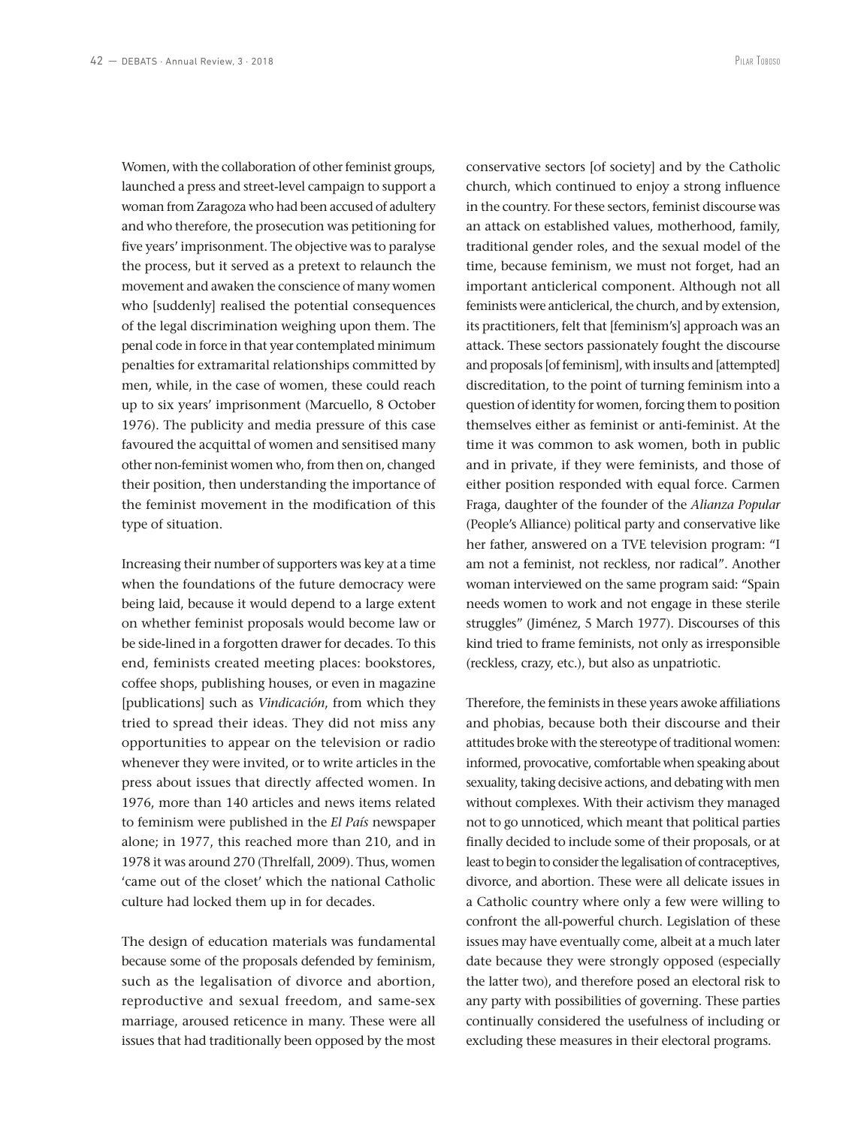Women, with the collaboration of other feminist groups, launched a press and street-level campaign to support a woman from Zaragoza who had been accused of adultery and who therefore, the prosecution was petitioning for five years' imprisonment. The objective was to paralyse the process, but it served as a pretext to relaunch the movement and awaken the conscience of many women who [suddenly] realised the potential consequences of the legal discrimination weighing upon them. The penal code in force in that year contemplated minimum penalties for extramarital relationships committed by men, while, in the case of women, these could reach up to six years' imprisonment (Marcuello, 8 October 1976). The publicity and media pressure of this case favoured the acquittal of women and sensitised many other non-feminist women who, from then on, changed their position, then understanding the importance of the feminist movement in the modification of this type of situation.

Increasing their number of supporters was key at a time when the foundations of the future democracy were being laid, because it would depend to a large extent on whether feminist proposals would become law or be side-lined in a forgotten drawer for decades. To this end, feminists created meeting places: bookstores, coffee shops, publishing houses, or even in magazine [publications] such as *Vindicación*, from which they tried to spread their ideas. They did not miss any opportunities to appear on the television or radio whenever they were invited, or to write articles in the press about issues that directly affected women. In 1976, more than 140 articles and news items related to feminism were published in the *El País* newspaper alone; in 1977, this reached more than 210, and in 1978 it was around 270 (Threlfall, 2009). Thus, women 'came out of the closet' which the national Catholic culture had locked them up in for decades.

The design of education materials was fundamental because some of the proposals defended by feminism, such as the legalisation of divorce and abortion, reproductive and sexual freedom, and same-sex marriage, aroused reticence in many. These were all issues that had traditionally been opposed by the most

conservative sectors [of society] and by the Catholic church, which continued to enjoy a strong influence in the country. For these sectors, feminist discourse was an attack on established values, motherhood, family, traditional gender roles, and the sexual model of the time, because feminism, we must not forget, had an important anticlerical component. Although not all feminists were anticlerical, the church, and by extension, its practitioners, felt that [feminism's] approach was an attack. These sectors passionately fought the discourse and proposals [of feminism], with insults and [attempted] discreditation, to the point of turning feminism into a question of identity for women, forcing them to position themselves either as feminist or anti-feminist. At the time it was common to ask women, both in public and in private, if they were feminists, and those of either position responded with equal force. Carmen Fraga, daughter of the founder of the *Alianza Popular* (People's Alliance) political party and conservative like her father, answered on a TVE television program: "I am not a feminist, not reckless, nor radical". Another woman interviewed on the same program said: "Spain needs women to work and not engage in these sterile struggles" (Jiménez, 5 March 1977). Discourses of this kind tried to frame feminists, not only as irresponsible (reckless, crazy, etc.), but also as unpatriotic.

Therefore, the feminists in these years awoke affiliations and phobias, because both their discourse and their attitudes broke with the stereotype of traditional women: informed, provocative, comfortable when speaking about sexuality, taking decisive actions, and debating with men without complexes. With their activism they managed not to go unnoticed, which meant that political parties finally decided to include some of their proposals, or at least to begin to consider the legalisation of contraceptives, divorce, and abortion. These were all delicate issues in a Catholic country where only a few were willing to confront the all-powerful church. Legislation of these issues may have eventually come, albeit at a much later date because they were strongly opposed (especially the latter two), and therefore posed an electoral risk to any party with possibilities of governing. These parties continually considered the usefulness of including or excluding these measures in their electoral programs.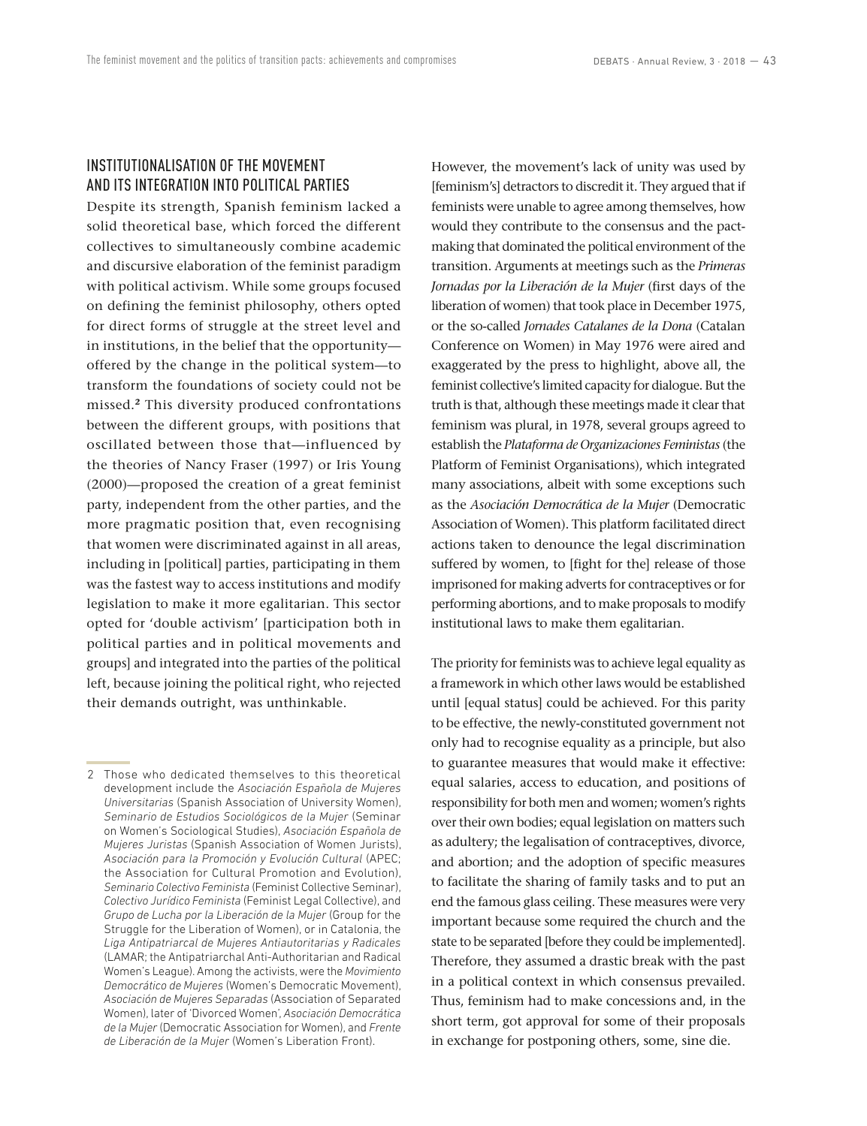# INSTITUTIONALISATION OF THE MOVEMENT AND ITS INTEGRATION INTO POLITICAL PARTIES

Despite its strength, Spanish feminism lacked a solid theoretical base, which forced the different collectives to simultaneously combine academic and discursive elaboration of the feminist paradigm with political activism. While some groups focused on defining the feminist philosophy, others opted for direct forms of struggle at the street level and in institutions, in the belief that the opportunity offered by the change in the political system—to transform the foundations of society could not be missed.**<sup>2</sup>** This diversity produced confrontations between the different groups, with positions that oscillated between those that—influenced by the theories of Nancy Fraser (1997) or Iris Young (2000)—proposed the creation of a great feminist party, independent from the other parties, and the more pragmatic position that, even recognising that women were discriminated against in all areas, including in [political] parties, participating in them was the fastest way to access institutions and modify legislation to make it more egalitarian. This sector opted for 'double activism' [participation both in political parties and in political movements and groups] and integrated into the parties of the political left, because joining the political right, who rejected their demands outright, was unthinkable.

However, the movement's lack of unity was used by [feminism's] detractors to discredit it. They argued that if feminists were unable to agree among themselves, how would they contribute to the consensus and the pactmaking that dominated the political environment of the transition. Arguments at meetings such as the *Primeras Jornadas por la Liberación de la Mujer* (first days of the liberation of women) that took place in December 1975, or the so-called *Jornades Catalanes de la Dona* (Catalan Conference on Women) in May 1976 were aired and exaggerated by the press to highlight, above all, the feminist collective's limited capacity for dialogue. But the truth is that, although these meetings made it clear that feminism was plural, in 1978, several groups agreed to establish the *Plataforma de Organizaciones Feministas* (the Platform of Feminist Organisations), which integrated many associations, albeit with some exceptions such as the *Asociación Democrática de la Mujer* (Democratic Association of Women). This platform facilitated direct actions taken to denounce the legal discrimination suffered by women, to [fight for the] release of those imprisoned for making adverts for contraceptives or for performing abortions, and to make proposals to modify institutional laws to make them egalitarian.

The priority for feminists was to achieve legal equality as a framework in which other laws would be established until [equal status] could be achieved. For this parity to be effective, the newly-constituted government not only had to recognise equality as a principle, but also to guarantee measures that would make it effective: equal salaries, access to education, and positions of responsibility for both men and women; women's rights over their own bodies; equal legislation on matters such as adultery; the legalisation of contraceptives, divorce, and abortion; and the adoption of specific measures to facilitate the sharing of family tasks and to put an end the famous glass ceiling. These measures were very important because some required the church and the state to be separated [before they could be implemented]. Therefore, they assumed a drastic break with the past in a political context in which consensus prevailed. Thus, feminism had to make concessions and, in the short term, got approval for some of their proposals in exchange for postponing others, some, sine die.

<sup>2</sup> Those who dedicated themselves to this theoretical development include the *Asociación Española de Mujeres Universitarias* (Spanish Association of University Women), *Seminario de Estudios Sociológicos de la Mujer* (Seminar on Women's Sociological Studies), *Asociación Española de Mujeres Juristas* (Spanish Association of Women Jurists), *Asociación para la Promoción y Evolución Cultural* (APEC; the Association for Cultural Promotion and Evolution), *Seminario Colectivo Feminista* (Feminist Collective Seminar), *Colectivo Jurídico Feminista* (Feminist Legal Collective), and *Grupo de Lucha por la Liberación de la Mujer* (Group for the Struggle for the Liberation of Women), or in Catalonia, the *Liga Antipatriarcal de Mujeres Antiautoritarias y Radicales*  (LAMAR; the Antipatriarchal Anti-Authoritarian and Radical Women's League). Among the activists, were the *Movimiento Democrático de Mujeres* (Women's Democratic Movement), *Asociación de Mujeres Separadas* (Association of Separated Women), later of 'Divorced Women', *Asociación Democrática de la Mujer* (Democratic Association for Women), and *Frente de Liberación de la Mujer* (Women's Liberation Front).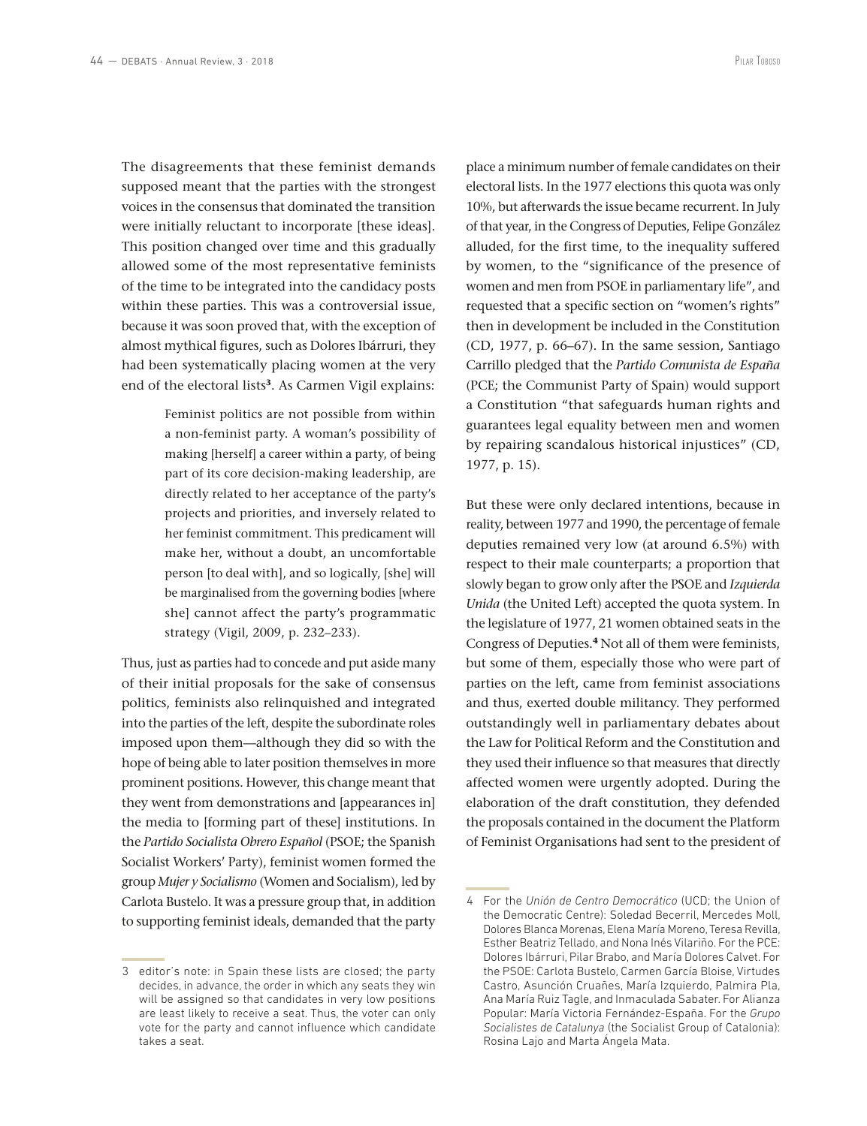The disagreements that these feminist demands supposed meant that the parties with the strongest voices in the consensus that dominated the transition were initially reluctant to incorporate [these ideas]. This position changed over time and this gradually allowed some of the most representative feminists of the time to be integrated into the candidacy posts within these parties. This was a controversial issue, because it was soon proved that, with the exception of almost mythical figures, such as Dolores Ibárruri, they had been systematically placing women at the very end of the electoral lists**<sup>3</sup>**. As Carmen Vigil explains:

> Feminist politics are not possible from within a non-feminist party. A woman's possibility of making [herself] a career within a party, of being part of its core decision-making leadership, are directly related to her acceptance of the party's projects and priorities, and inversely related to her feminist commitment. This predicament will make her, without a doubt, an uncomfortable person [to deal with], and so logically, [she] will be marginalised from the governing bodies [where she] cannot affect the party's programmatic strategy (Vigil, 2009, p. 232–233).

Thus, just as parties had to concede and put aside many of their initial proposals for the sake of consensus politics, feminists also relinquished and integrated into the parties of the left, despite the subordinate roles imposed upon them—although they did so with the hope of being able to later position themselves in more prominent positions. However, this change meant that they went from demonstrations and [appearances in] the media to [forming part of these] institutions. In the *Partido Socialista Obrero Español* (PSOE; the Spanish Socialist Workers' Party), feminist women formed the group *Mujer y Socialismo* (Women and Socialism), led by Carlota Bustelo. It was a pressure group that, in addition to supporting feminist ideals, demanded that the party

3 editor's note: in Spain these lists are closed; the party decides, in advance, the order in which any seats they win will be assigned so that candidates in very low positions are least likely to receive a seat. Thus, the voter can only vote for the party and cannot influence which candidate takes a seat.

place a minimum number of female candidates on their electoral lists. In the 1977 elections this quota was only 10%, but afterwards the issue became recurrent. In July of that year, in the Congress of Deputies, Felipe González alluded, for the first time, to the inequality suffered by women, to the "significance of the presence of women and men from PSOE in parliamentary life", and requested that a specific section on "women's rights" then in development be included in the Constitution (CD, 1977, p. 66–67). In the same session, Santiago Carrillo pledged that the *Partido Comunista de España* (PCE; the Communist Party of Spain) would support a Constitution "that safeguards human rights and guarantees legal equality between men and women by repairing scandalous historical injustices" (CD, 1977, p. 15).

But these were only declared intentions, because in reality, between 1977 and 1990, the percentage of female deputies remained very low (at around 6.5%) with respect to their male counterparts; a proportion that slowly began to grow only after the PSOE and *Izquierda Unida* (the United Left) accepted the quota system. In the legislature of 1977, 21 women obtained seats in the Congress of Deputies.**<sup>4</sup>** Not all of them were feminists, but some of them, especially those who were part of parties on the left, came from feminist associations and thus, exerted double militancy. They performed outstandingly well in parliamentary debates about the Law for Political Reform and the Constitution and they used their influence so that measures that directly affected women were urgently adopted. During the elaboration of the draft constitution, they defended the proposals contained in the document the Platform of Feminist Organisations had sent to the president of

<sup>4</sup> For the *Unión de Centro Democrático* (UCD; the Union of the Democratic Centre): Soledad Becerril, Mercedes Moll, Dolores Blanca Morenas, Elena María Moreno, Teresa Revilla, Esther Beatriz Tellado, and Nona Inés Vilariño. For the PCE: Dolores Ibárruri, Pilar Brabo, and María Dolores Calvet. For the PSOE: Carlota Bustelo, Carmen García Bloise, Virtudes Castro, Asunción Cruañes, María Izquierdo, Palmira Pla, Ana María Ruiz Tagle, and Inmaculada Sabater. For Alianza Popular: María Victoria Fernández-España. For the *Grupo Socialistes de Catalunya* (the Socialist Group of Catalonia): Rosina Lajo and Marta Ángela Mata.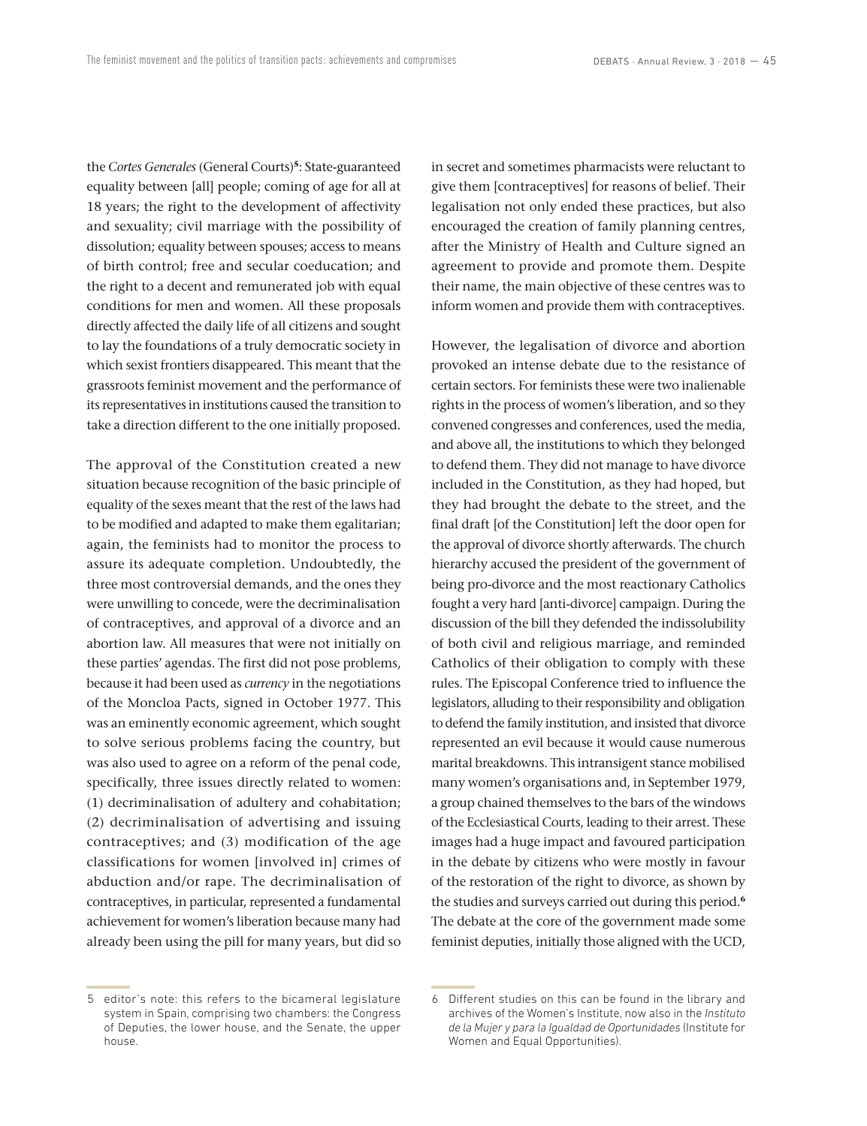the *Cortes Generales* (General Courts)**<sup>5</sup>**: State-guaranteed equality between [all] people; coming of age for all at 18 years; the right to the development of affectivity and sexuality; civil marriage with the possibility of dissolution; equality between spouses; access to means of birth control; free and secular coeducation; and the right to a decent and remunerated job with equal conditions for men and women. All these proposals directly affected the daily life of all citizens and sought to lay the foundations of a truly democratic society in which sexist frontiers disappeared. This meant that the grassroots feminist movement and the performance of its representatives in institutions caused the transition to take a direction different to the one initially proposed.

The approval of the Constitution created a new situation because recognition of the basic principle of equality of the sexes meant that the rest of the laws had to be modified and adapted to make them egalitarian; again, the feminists had to monitor the process to assure its adequate completion. Undoubtedly, the three most controversial demands, and the ones they were unwilling to concede, were the decriminalisation of contraceptives, and approval of a divorce and an abortion law. All measures that were not initially on these parties' agendas. The first did not pose problems, because it had been used as *currency* in the negotiations of the Moncloa Pacts, signed in October 1977. This was an eminently economic agreement, which sought to solve serious problems facing the country, but was also used to agree on a reform of the penal code, specifically, three issues directly related to women: (1) decriminalisation of adultery and cohabitation; (2) decriminalisation of advertising and issuing contraceptives; and (3) modification of the age classifications for women [involved in] crimes of abduction and/or rape. The decriminalisation of contraceptives, in particular, represented a fundamental achievement for women's liberation because many had already been using the pill for many years, but did so in secret and sometimes pharmacists were reluctant to give them [contraceptives] for reasons of belief. Their legalisation not only ended these practices, but also encouraged the creation of family planning centres, after the Ministry of Health and Culture signed an agreement to provide and promote them. Despite their name, the main objective of these centres was to inform women and provide them with contraceptives.

However, the legalisation of divorce and abortion provoked an intense debate due to the resistance of certain sectors. For feminists these were two inalienable rights in the process of women's liberation, and so they convened congresses and conferences, used the media, and above all, the institutions to which they belonged to defend them. They did not manage to have divorce included in the Constitution, as they had hoped, but they had brought the debate to the street, and the final draft [of the Constitution] left the door open for the approval of divorce shortly afterwards. The church hierarchy accused the president of the government of being pro-divorce and the most reactionary Catholics fought a very hard [anti-divorce] campaign. During the discussion of the bill they defended the indissolubility of both civil and religious marriage, and reminded Catholics of their obligation to comply with these rules. The Episcopal Conference tried to influence the legislators, alluding to their responsibility and obligation to defend the family institution, and insisted that divorce represented an evil because it would cause numerous marital breakdowns. This intransigent stance mobilised many women's organisations and, in September 1979, a group chained themselves to the bars of the windows of the Ecclesiastical Courts, leading to their arrest. These images had a huge impact and favoured participation in the debate by citizens who were mostly in favour of the restoration of the right to divorce, as shown by the studies and surveys carried out during this period.**<sup>6</sup>** The debate at the core of the government made some feminist deputies, initially those aligned with the UCD,

<sup>5</sup> editor's note: this refers to the bicameral legislature system in Spain, comprising two chambers: the Congress of Deputies, the lower house, and the Senate, the upper house.

<sup>6</sup> Different studies on this can be found in the library and archives of the Women's Institute, now also in the *Instituto de la Mujer y para la Igualdad de Oportunidades* (Institute for Women and Equal Opportunities).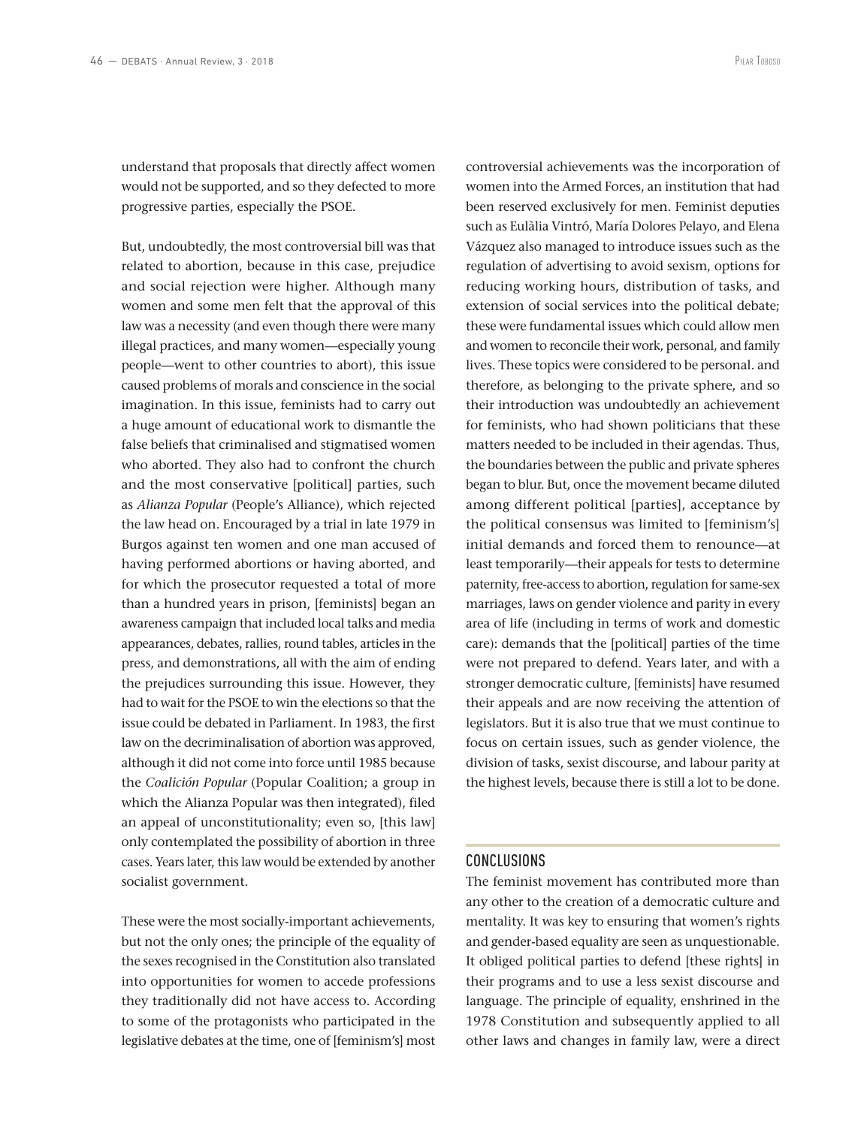understand that proposals that directly affect women would not be supported, and so they defected to more progressive parties, especially the PSOE.

But, undoubtedly, the most controversial bill was that related to abortion, because in this case, prejudice and social rejection were higher. Although many women and some men felt that the approval of this law was a necessity (and even though there were many illegal practices, and many women—especially young people—went to other countries to abort), this issue caused problems of morals and conscience in the social imagination. In this issue, feminists had to carry out a huge amount of educational work to dismantle the false beliefs that criminalised and stigmatised women who aborted. They also had to confront the church and the most conservative [political] parties, such as *Alianza Popular* (People's Alliance), which rejected the law head on. Encouraged by a trial in late 1979 in Burgos against ten women and one man accused of having performed abortions or having aborted, and for which the prosecutor requested a total of more than a hundred years in prison, [feminists] began an awareness campaign that included local talks and media appearances, debates, rallies, round tables, articles in the press, and demonstrations, all with the aim of ending the prejudices surrounding this issue. However, they had to wait for the PSOE to win the elections so that the issue could be debated in Parliament. In 1983, the first law on the decriminalisation of abortion was approved, although it did not come into force until 1985 because the *Coalición Popular* (Popular Coalition; a group in which the Alianza Popular was then integrated), filed an appeal of unconstitutionality; even so, [this law] only contemplated the possibility of abortion in three cases. Years later, this law would be extended by another socialist government.

These were the most socially-important achievements, but not the only ones; the principle of the equality of the sexes recognised in the Constitution also translated into opportunities for women to accede professions they traditionally did not have access to. According to some of the protagonists who participated in the legislative debates at the time, one of [feminism's] most

controversial achievements was the incorporation of women into the Armed Forces, an institution that had been reserved exclusively for men. Feminist deputies such as Eulàlia Vintró, María Dolores Pelayo, and Elena Vázquez also managed to introduce issues such as the regulation of advertising to avoid sexism, options for reducing working hours, distribution of tasks, and extension of social services into the political debate; these were fundamental issues which could allow men and women to reconcile their work, personal, and family lives. These topics were considered to be personal. and therefore, as belonging to the private sphere, and so their introduction was undoubtedly an achievement for feminists, who had shown politicians that these matters needed to be included in their agendas. Thus, the boundaries between the public and private spheres began to blur. But, once the movement became diluted among different political [parties], acceptance by the political consensus was limited to [feminism's] initial demands and forced them to renounce—at least temporarily—their appeals for tests to determine paternity, free-access to abortion, regulation for same-sex marriages, laws on gender violence and parity in every area of life (including in terms of work and domestic care): demands that the [political] parties of the time were not prepared to defend. Years later, and with a stronger democratic culture, [feminists] have resumed their appeals and are now receiving the attention of legislators. But it is also true that we must continue to focus on certain issues, such as gender violence, the division of tasks, sexist discourse, and labour parity at the highest levels, because there is still a lot to be done.

### CONCLUSIONS

The feminist movement has contributed more than any other to the creation of a democratic culture and mentality. It was key to ensuring that women's rights and gender-based equality are seen as unquestionable. It obliged political parties to defend [these rights] in their programs and to use a less sexist discourse and language. The principle of equality, enshrined in the 1978 Constitution and subsequently applied to all other laws and changes in family law, were a direct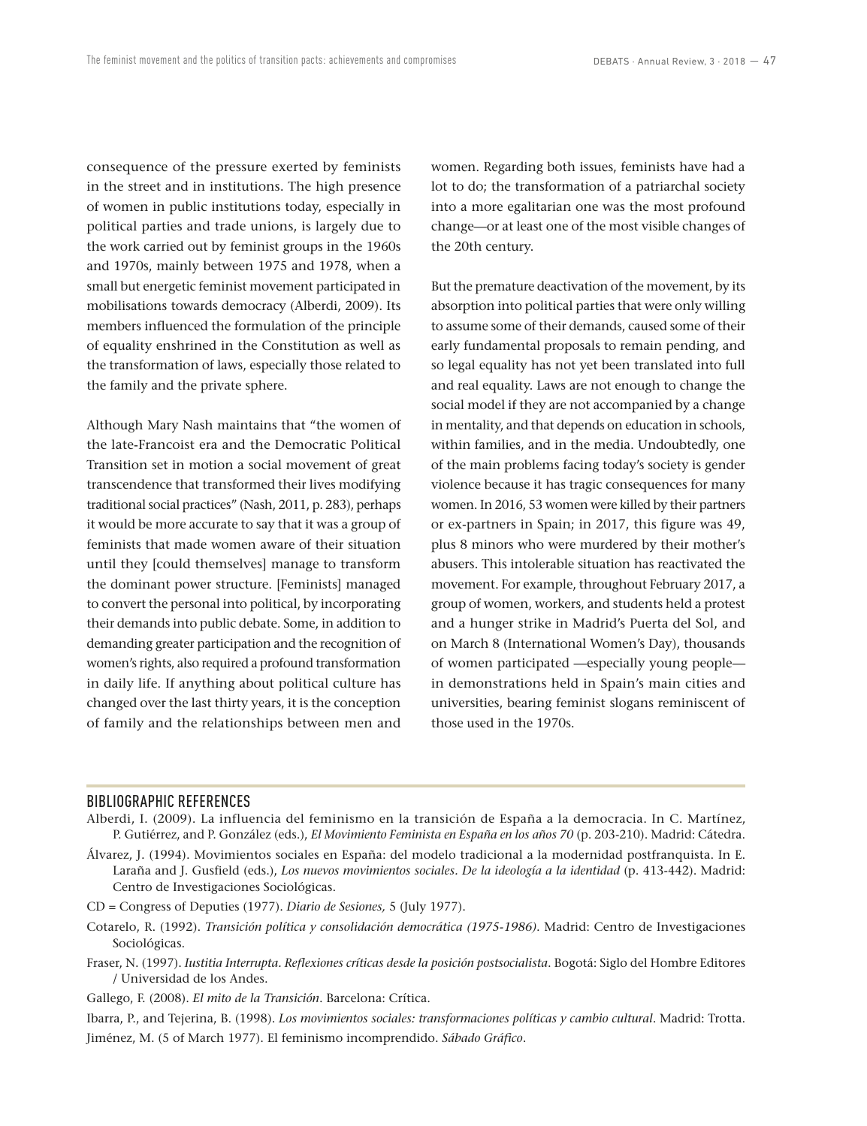consequence of the pressure exerted by feminists in the street and in institutions. The high presence of women in public institutions today, especially in political parties and trade unions, is largely due to the work carried out by feminist groups in the 1960s and 1970s, mainly between 1975 and 1978, when a small but energetic feminist movement participated in mobilisations towards democracy (Alberdi, 2009). Its members influenced the formulation of the principle of equality enshrined in the Constitution as well as the transformation of laws, especially those related to the family and the private sphere.

Although Mary Nash maintains that "the women of the late-Francoist era and the Democratic Political Transition set in motion a social movement of great transcendence that transformed their lives modifying traditional social practices" (Nash, 2011, p. 283), perhaps it would be more accurate to say that it was a group of feminists that made women aware of their situation until they [could themselves] manage to transform the dominant power structure. [Feminists] managed to convert the personal into political, by incorporating their demands into public debate. Some, in addition to demanding greater participation and the recognition of women's rights, also required a profound transformation in daily life. If anything about political culture has changed over the last thirty years, it is the conception of family and the relationships between men and women. Regarding both issues, feminists have had a lot to do; the transformation of a patriarchal society into a more egalitarian one was the most profound change—or at least one of the most visible changes of the 20th century.

But the premature deactivation of the movement, by its absorption into political parties that were only willing to assume some of their demands, caused some of their early fundamental proposals to remain pending, and so legal equality has not yet been translated into full and real equality. Laws are not enough to change the social model if they are not accompanied by a change in mentality, and that depends on education in schools, within families, and in the media. Undoubtedly, one of the main problems facing today's society is gender violence because it has tragic consequences for many women. In 2016, 53 women were killed by their partners or ex-partners in Spain; in 2017, this figure was 49, plus 8 minors who were murdered by their mother's abusers. This intolerable situation has reactivated the movement. For example, throughout February 2017, a group of women, workers, and students held a protest and a hunger strike in Madrid's Puerta del Sol, and on March 8 (International Women's Day), thousands of women participated —especially young people in demonstrations held in Spain's main cities and universities, bearing feminist slogans reminiscent of those used in the 1970s.

### BIBLIOGRAPHIC REFERENCES

- Alberdi, I. (2009). La influencia del feminismo en la transición de España a la democracia. In C. Martínez, P. Gutiérrez, and P. González (eds.), *El Movimiento Feminista en España en los años 70* (p. 203-210). Madrid: Cátedra.
- Álvarez, J. (1994). Movimientos sociales en España: del modelo tradicional a la modernidad postfranquista. In E. Laraña and J. Gusfield (eds.), *Los nuevos movimientos sociales. De la ideología a la identidad* (p. 413-442). Madrid: Centro de Investigaciones Sociológicas.
- CD = Congress of Deputies (1977). *Diario de Sesiones,* 5 (July 1977).
- Cotarelo, R. (1992). *Transición política y consolidación democrática (1975-1986)*. Madrid: Centro de Investigaciones Sociológicas.
- Fraser, N. (1997). *Iustitia Interrupta. Reflexiones críticas desde la posición postsocialista*. Bogotá: Siglo del Hombre Editores / Universidad de los Andes.
- Gallego, F. (2008). *El mito de la Transición*. Barcelona: Crítica.

Ibarra, P., and Tejerina, B. (1998). *Los movimientos sociales: transformaciones políticas y cambio cultural*. Madrid: Trotta. Jiménez, M. (5 of March 1977). El feminismo incomprendido. *Sábado Gráfico*.